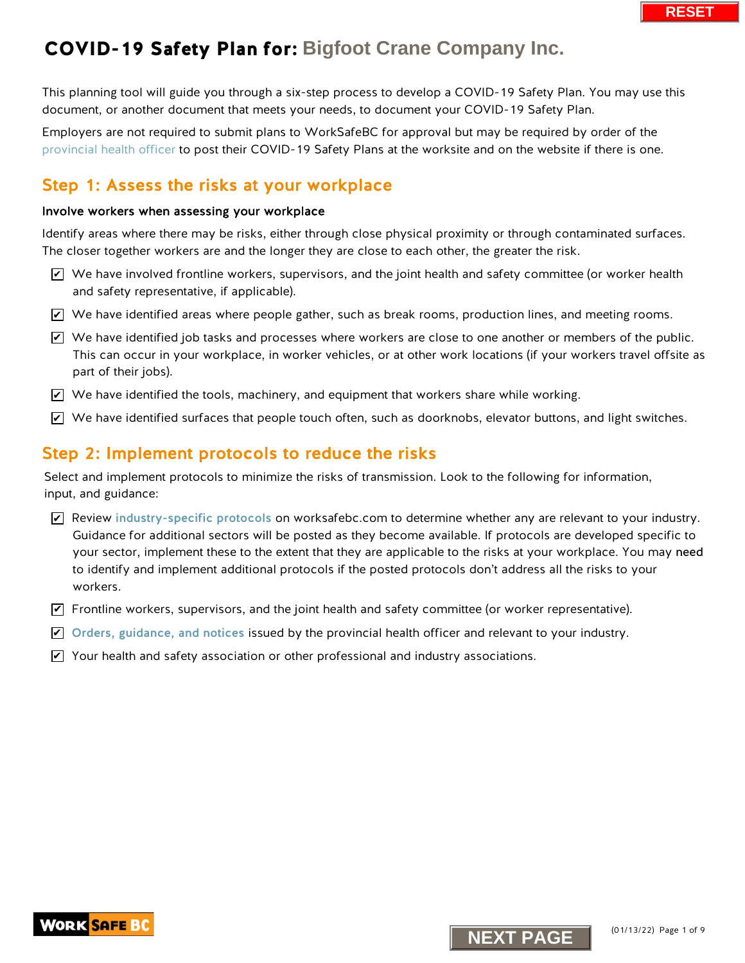This planning tool will guide you through a six-step process to develop a COVID-19 Safety Plan. You may use this document, or another document that meets your needs, to document your COVID-19 Safety Plan.

Employers are not required to submit plans to WorkSafeBC for approval but may be required by order of the [provincial health officer](https://www2.gov.bc.ca/gov/content/health/about-bc-s-health-care-system/office-of-the-provincial-health-officer/current-health-topics/covid-19-novel-coronavirus) to post their COVID-19 Safety Plans at the worksite and on the website if there is one.

## Step 1: Assess the risks at your workplace

#### Involve workers when assessing your workplace

Identify areas where there may be risks, either through close physical proximity or through contaminated surfaces. The closer together workers are and the longer they are close to each other, the greater the risk.

- $\triangledown$  We have involved frontline workers, supervisors, and the joint health and safety committee (or worker health and safety representative, if applicable).
- $\blacktriangleright$  We have identified areas where people gather, such as break rooms, production lines, and meeting rooms.
- $\blacktriangleright$  We have identified job tasks and processes where workers are close to one another or members of the public. This can occur in your workplace, in worker vehicles, or at other work locations (if your workers travel offsite as part of their jobs).
- $\blacktriangleright$  We have identified the tools, machinery, and equipment that workers share while working.
- $\blacktriangleright$  We have identified surfaces that people touch often, such as doorknobs, elevator buttons, and light switches.

### Step 2: Implement protocols to reduce the risks

Select and implement protocols to minimize the risks of transmission. Look to the following for information, input, and guidance:

- $\blacktriangleright$  Review [industry-specific protocols](https://www.worksafebc.com/en/covid-19/industry-specific-information) on worksafebc.com to determine whether any are relevant to your industry. Guidance for additional sectors will be posted as they become available. If protocols are developed specific to your sector, implement these to the extent that they are applicable to the risks at your workplace. You may need to identify and implement additional protocols if the posted protocols don't address all the risks to your workers. We have involved frontiine workers, supervisors, and the joint health and safety committed and safety representative; if applicable).<br>
Ne have identified areas where people gather, such as break rooms, production lines, an
- $\blacktriangledown$  Frontline workers, supervisors, and the joint health and safety committee (or worker representative).
- $\blacktriangleright$  [Orders, guidance, and notices](https://www2.gov.bc.ca/gov/content/health/about-bc-s-health-care-system/office-of-the-provincial-health-officer/current-health-topics/covid-19-novel-coronavirus) issued by the provincial health officer and relevant to your industry.
- $\blacktriangleright$  Your health and safety association or other professional and industry associations.

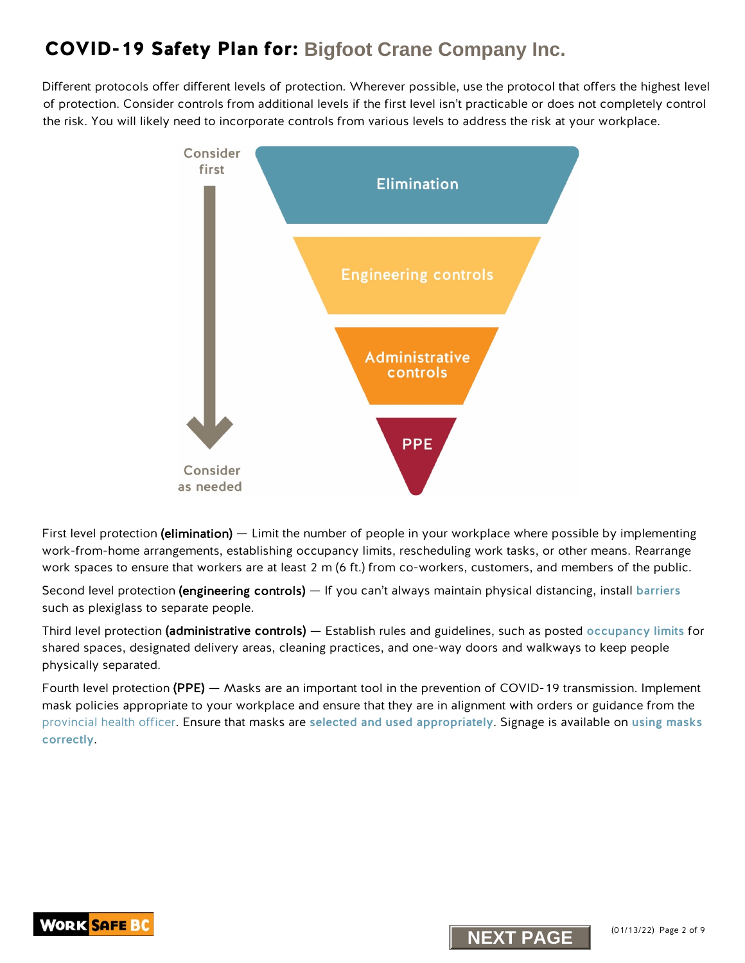Different protocols offer different levels of protection. Wherever possible, use the protocol that offers the highest level of protection. Consider controls from additional levels if the first level isn't practicable or does not completely control the risk. You will likely need to incorporate controls from various levels to address the risk at your workplace.



First level protection (elimination) — Limit the number of people in your workplace where possible by implementing work-from-home arrangements, establishing occupancy limits, rescheduling work tasks, or other means. Rearrange work spaces to ensure that workers are at least 2 m (6 ft.) from co-workers, customers, and members of the public.

Second level protection (engineering controls) — If you can't always maintain physical distancing, install [barriers](https://www.worksafebc.com/en/resources/health-safety/information-sheets/covid-19-health-safety-designing-effective-barriers?lang=en) such as plexiglass to separate people.

Third level protection (administrative controls) — Establish rules and guidelines, such as posted [occupancy limits](https://www.worksafebc.com/en/resources/health-safety/posters/help-prevent-spread-covid-19-occupancy-limit?lang=en) for shared spaces, designated delivery areas, cleaning practices, and one-way doors and walkways to keep people physically separated.

Fourth level protection (PPE) — Masks are an important tool in the prevention of COVID-19 transmission. Implement mask policies appropriate to your workplace and ensure that they are in alignment with orders or guidance from the [provincial health officer.](https://www2.gov.bc.ca/gov/content/health/about-bc-s-health-care-system/office-of-the-provincial-health-officer/current-health-topics/covid-19-novel-coronavirus) Ensure that masks are [selected and used](http://www.bccdc.ca/health-info/diseases-conditions/covid-19/prevention-risks/masks) appropriately. Signage is available on [using masks](https://www.worksafebc.com/en/resources/health-safety/information-sheets/covid-19-health-safety-selecting-using-masks?lang=en)  [correctly](https://www.worksafebc.com/en/resources/health-safety/posters/help-prevent-spread-covid-19-how-to-use-mask?lang=en).



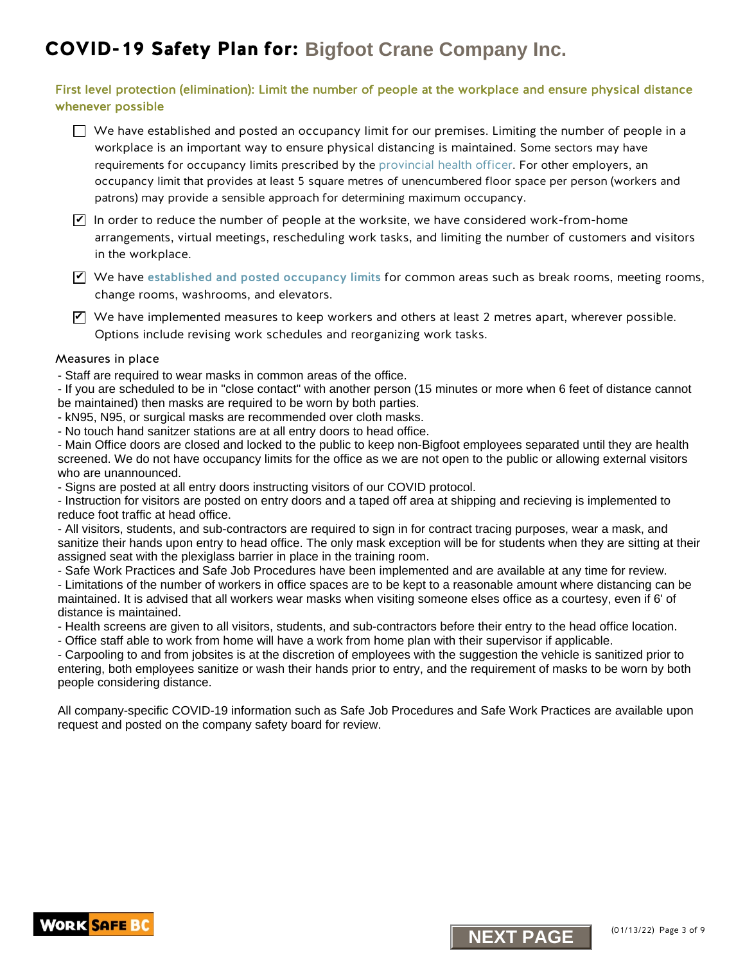#### First level protection (elimination): Limit the number of people at the workplace and ensure physical distance whenever possible

 $\Box$  We have established and posted an occupancy limit for our premises. Limiting the number of people in a workplace is an important way to ensure physical distancing is maintained. Some sectors may have requirements for occupancy limits prescribed by the [provincial health officer. F](https://www2.gov.bc.ca/gov/content/health/about-bc-s-health-care-system/office-of-the-provincial-health-officer/current-health-topics/covid-19-novel-coronavirus)or other employers, an occupancy limit that provides at least 5 square metres of unencumbered floor space per person (workers and patrons) may provide a sensible approach for determining maximum occupancy.

 $\blacktriangledown$  In order to reduce the number of people at the worksite, we have considered work-from-home arrangements, virtual meetings, rescheduling work tasks, and limiting the number of customers and visitors in the workplace.

 $\Psi$  We have [established and posted occupancy limits](http://www.worksafebc.com/en/resources/health-safety/posters/help-prevent-spread-covid-19-occupancy-limit?lang=en) for common areas such as break rooms, meeting rooms, change rooms, washrooms, and elevators.

 $\blacktriangleright$  We have implemented measures to keep workers and others at least 2 metres apart, wherever possible. Options include revising work schedules and reorganizing work tasks.

#### Measures in place

- Staff are required to wear masks in common areas of the office.

- If you are scheduled to be in "close contact" with another person (15 minutes or more when 6 feet of distance cannot be maintained) then masks are required to be worn by both parties.

- kN95, N95, or surgical masks are recommended over cloth masks.

- No touch hand sanitzer stations are at all entry doors to head office.

- Main Office doors are closed and locked to the public to keep non-Bigfoot employees separated until they are health screened. We do not have occupancy limits for the office as we are not open to the public or allowing external visitors who are unannounced.

- Signs are posted at all entry doors instructing visitors of our COVID protocol.

- Instruction for visitors are posted on entry doors and a taped off area at shipping and recieving is implemented to reduce foot traffic at head office.

- All visitors, students, and sub-contractors are required to sign in for contract tracing purposes, wear a mask, and sanitize their hands upon entry to head office. The only mask exception will be for students when they are sitting at their assigned seat with the plexiglass barrier in place in the training room.

- Safe Work Practices and Safe Job Procedures have been implemented and are available at any time for review.

- Limitations of the number of workers in office spaces are to be kept to a reasonable amount where distancing can be maintained. It is advised that all workers wear masks when visiting someone elses office as a courtesy, even if 6' of distance is maintained.

- Health screens are given to all visitors, students, and sub-contractors before their entry to the head office location.

- Office staff able to work from home will have a work from home plan with their supervisor if applicable.

**Note the implemented measures to keep workers and others are teast 2 metres apart, we have implemented measures to keep work to the sympath and the measures in place<br>you are scheduled to be in "close content" with another** - Carpooling to and from jobsites is at the discretion of employees with the suggestion the vehicle is sanitized prior to entering, both employees sanitize or wash their hands prior to entry, and the requirement of masks to be worn by both people considering distance.



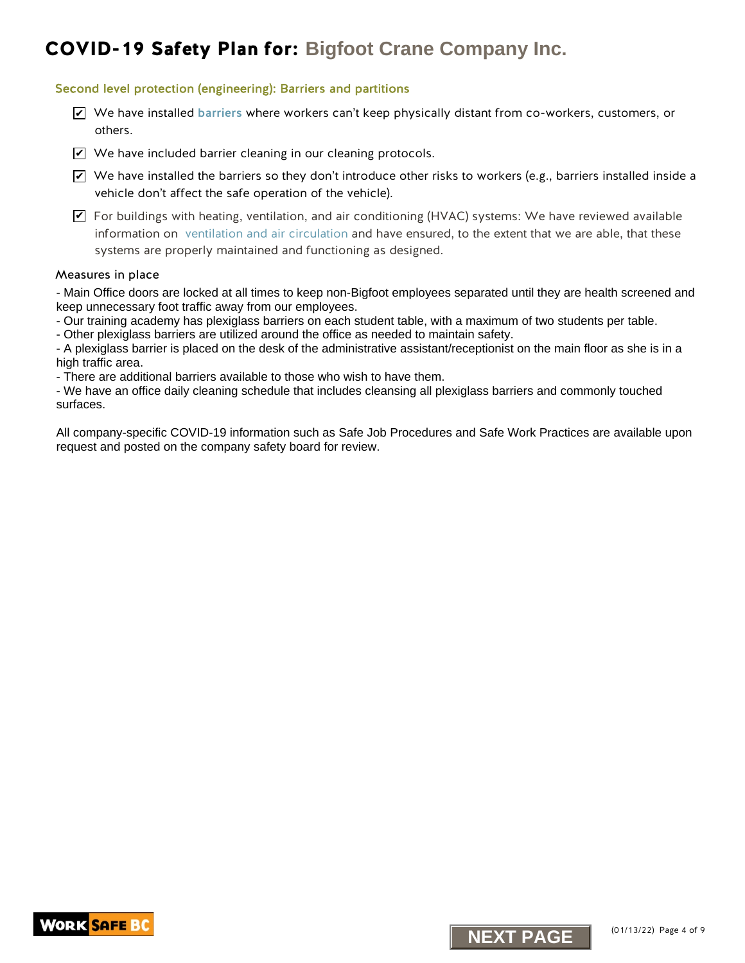#### Second level protection (engineering): Barriers and partitions

- We have installed [barriers](https://www.worksafebc.com/en/resources/health-safety/information-sheets/covid-19-health-safety-designing-effective-barriers?lang=en) where workers can't keep physically distant from co-workers, customers, or others.
- $\blacktriangleright$  We have included barrier cleaning in our cleaning protocols.
- $\blacktriangleright$  We have installed the barriers so they don't introduce other risks to workers (e.g., barriers installed inside a vehicle don't affect the safe operation of the vehicle).

 $\blacktriangledown$  For buildings with heating, ventilation, and air conditioning (HVAC) systems: We have reviewed available information on [ventilation and air circulation](https://www.worksafebc.com/resources/about-us/covid-19/general-ventilation-and-air-circulation-covid-19-faq?lang=en) and have ensured, to the extent that we are able, that these systems are properly maintained and functioning as designed. X we have installed barriers where workers can't keep physically distant from co-works<br>
Ne have included barriers (earning in our cleaning protocol).<br>
Ne have included barriers (earning in our cleaning protocol)<br>
Which don

#### Measures in place

- Main Office doors are locked at all times to keep non-Bigfoot employees separated until they are health screened and keep unnecessary foot traffic away from our employees.

- Our training academy has plexiglass barriers on each student table, with a maximum of two students per table.

- Other plexiglass barriers are utilized around the office as needed to maintain safety.

- A plexiglass barrier is placed on the desk of the administrative assistant/receptionist on the main floor as she is in a high traffic area.

- There are additional barriers available to those who wish to have them.

- We have an office daily cleaning schedule that includes cleansing all plexiglass barriers and commonly touched surfaces.



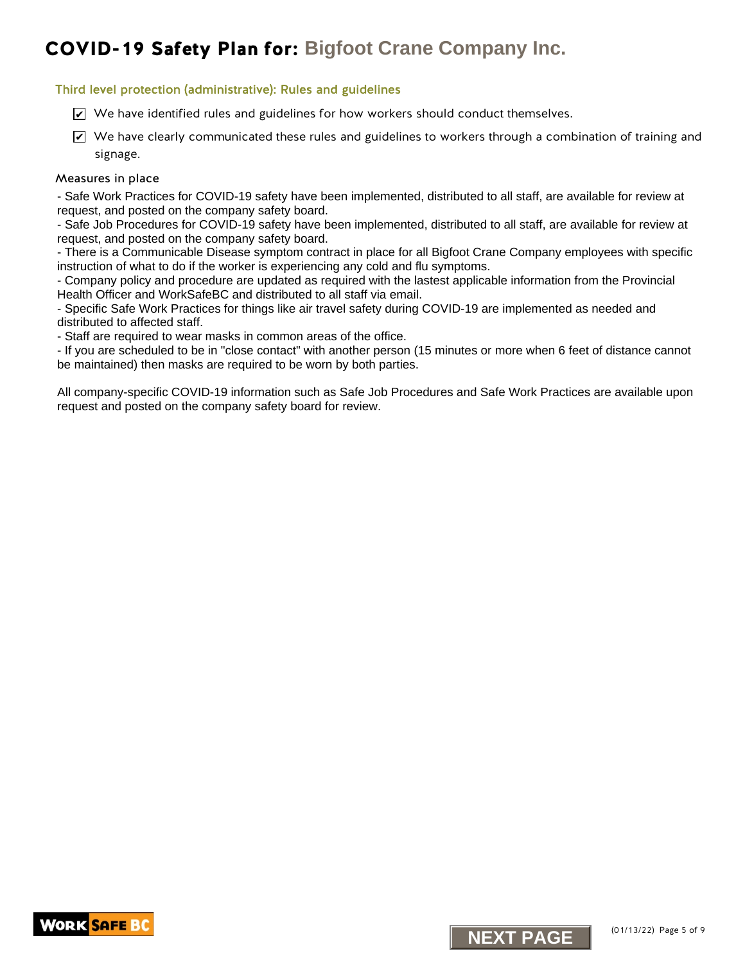#### Third level protection (administrative): Rules and guidelines

- $\trianglerighteq$  We have identified rules and guidelines for how workers should conduct themselves.
- $\blacktriangleright$  We have clearly communicated these rules and guidelines to workers through a combination of training and signage. K we have identified rules and guidelines for how workers should conduct themselves.<br>We have clearly communicated these rules and guidelines to vorkers through a communication signage.<br>
Signage in the communicated these ru

#### Measures in place

- Safe Work Practices for COVID-19 safety have been implemented, distributed to all staff, are available for review at request, and posted on the company safety board.

- Safe Job Procedures for COVID-19 safety have been implemented, distributed to all staff, are available for review at request, and posted on the company safety board.

- There is a Communicable Disease symptom contract in place for all Bigfoot Crane Company employees with specific instruction of what to do if the worker is experiencing any cold and flu symptoms.

- Company policy and procedure are updated as required with the lastest applicable information from the Provincial Health Officer and WorkSafeBC and distributed to all staff via email.

- Specific Safe Work Practices for things like air travel safety during COVID-19 are implemented as needed and distributed to affected staff.

- Staff are required to wear masks in common areas of the office.

- If you are scheduled to be in "close contact" with another person (15 minutes or more when 6 feet of distance cannot be maintained) then masks are required to be worn by both parties.



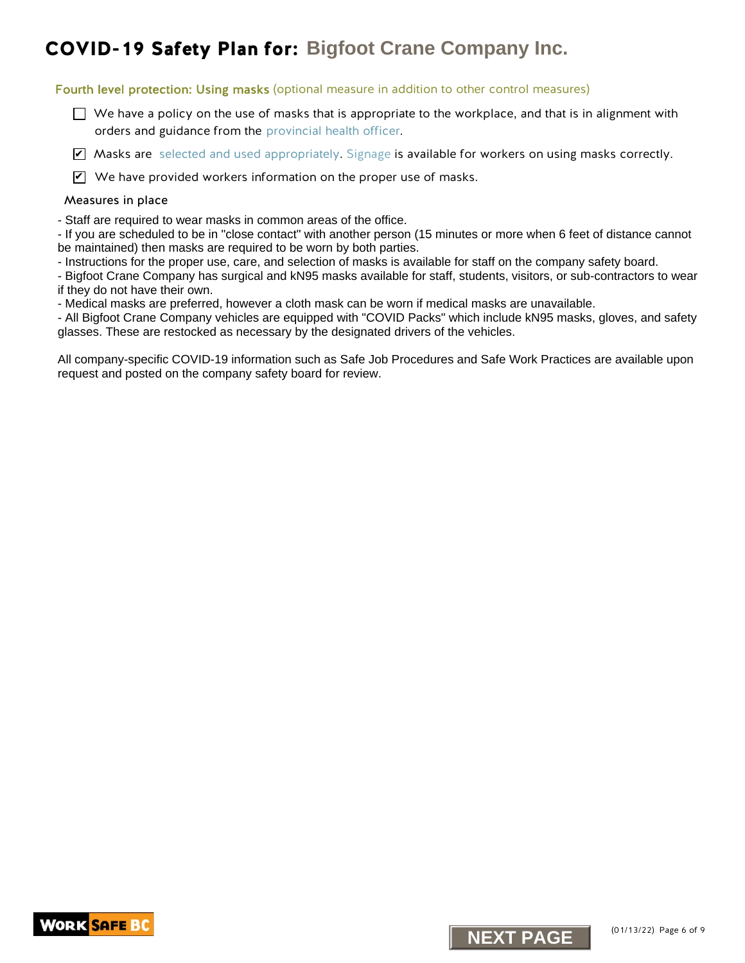Fourth level protection: Using masks (optional measure in addition to other control measures)

 $\Box$  We have a policy on the use of masks that is appropriate to the workplace, and that is in alignment with orders and guidance from the [provincial health officer.](https://www2.gov.bc.ca/gov/content/covid-19/info/restrictions) **NID-19 Safety Plan for:** Bigfoot Crane Company Inc.<br>
In the tele protection: Using masks (optional measure in addition to the control measure<br>  $\rightarrow$  We have a policy on the use of mask that is appropriate to the evoluples,

■ Masks are [selected and used appropriately.](http://www.bccdc.ca/health-info/diseases-conditions/covid-19/prevention-risks/masks) [Signage](https://www.worksafebc.com/resources/health-safety/posters/prevent-spread-communicable-disease-how-to-use-mask?lang=en) is available for workers on using masks correctly.

 $\mathbf Z$  We have provided workers information on the proper use of masks.

#### Measures in place

- Staff are required to wear masks in common areas of the office.

- If you are scheduled to be in "close contact" with another person (15 minutes or more when 6 feet of distance cannot be maintained) then masks are required to be worn by both parties.

- Instructions for the proper use, care, and selection of masks is available for staff on the company safety board.

- Bigfoot Crane Company has surgical and kN95 masks available for staff, students, visitors, or sub-contractors to wear if they do not have their own.

- Medical masks are preferred, however a cloth mask can be worn if medical masks are unavailable.

- All Bigfoot Crane Company vehicles are equipped with "COVID Packs" which include kN95 masks, gloves, and safety glasses. These are restocked as necessary by the designated drivers of the vehicles.



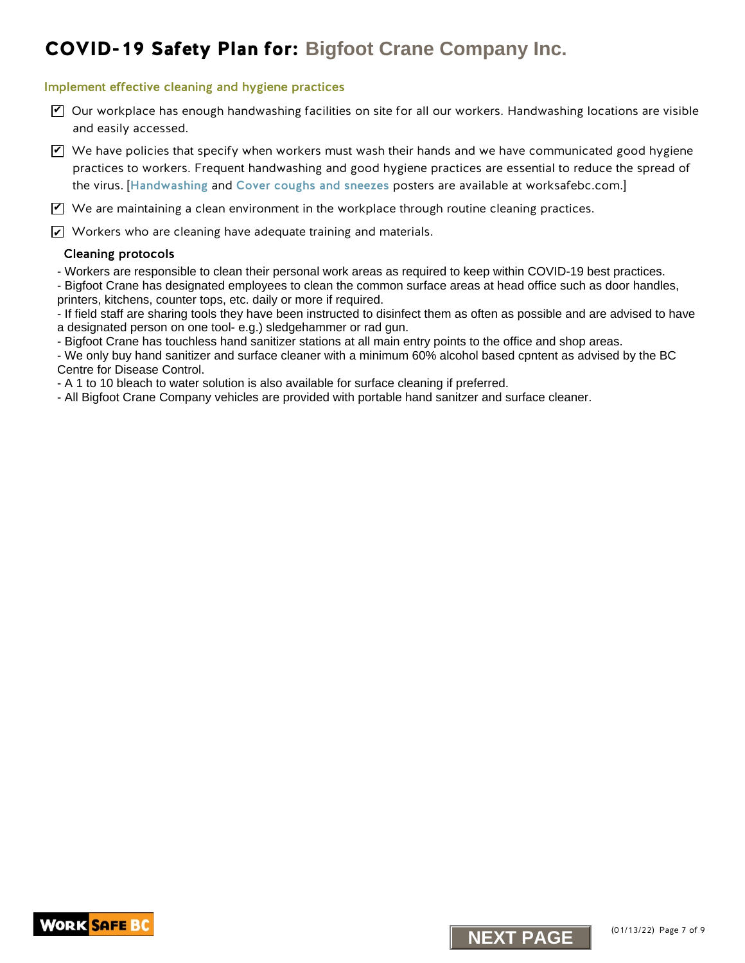#### Implement effective cleaning and hygiene practices

- $\triangledown$  Our workplace has enough handwashing facilities on site for all our workers. Handwashing locations are visible and easily accessed.
- $\blacktriangledown$  We have policies that specify when workers must wash their hands and we have communicated good hygiene practices to workers. Frequent handwashing and good hygiene practices are essential to reduce the spread of the virus. [[Handwashing](https://www.worksafebc.com/en/resources/health-safety/posters/help-prevent-spread-covid-19-handwashing?lang=en) and [Cover coughs and sneezes](https://www.worksafebc.com/en/resources/health-safety/posters/help-prevent-spread-covid-19-cover-coughs-sneezes?lang=en) posters are available at worksafebc.com.] Crane Company Inc.<br> **New official company Inc.**<br> **NEXT PAGE** Company Individual consider the state of the state of the state of the state of the state of the state of the state of the state of the state of the state of the

 $\blacktriangledown$  We are maintaining a clean environment in the workplace through routine cleaning practices.

 $\angle\!\!\!\!\perp$  Workers who are cleaning have adequate training and materials.

#### Cleaning protocols

- Workers are responsible to clean their personal work areas as required to keep within COVID-19 best practices.

- Bigfoot Crane has designated employees to clean the common surface areas at head office such as door handles, printers, kitchens, counter tops, etc. daily or more if required.

- If field staff are sharing tools they have been instructed to disinfect them as often as possible and are advised to have a designated person on one tool- e.g.) sledgehammer or rad gun.

- Bigfoot Crane has touchless hand sanitizer stations at all main entry points to the office and shop areas.

- We only buy hand sanitizer and surface cleaner with a minimum 60% alcohol based cpntent as advised by the BC Centre for Disease Control.

- A 1 to 10 bleach to water solution is also available for surface cleaning if preferred.

- All Bigfoot Crane Company vehicles are provided with portable hand sanitzer and surface cleaner.



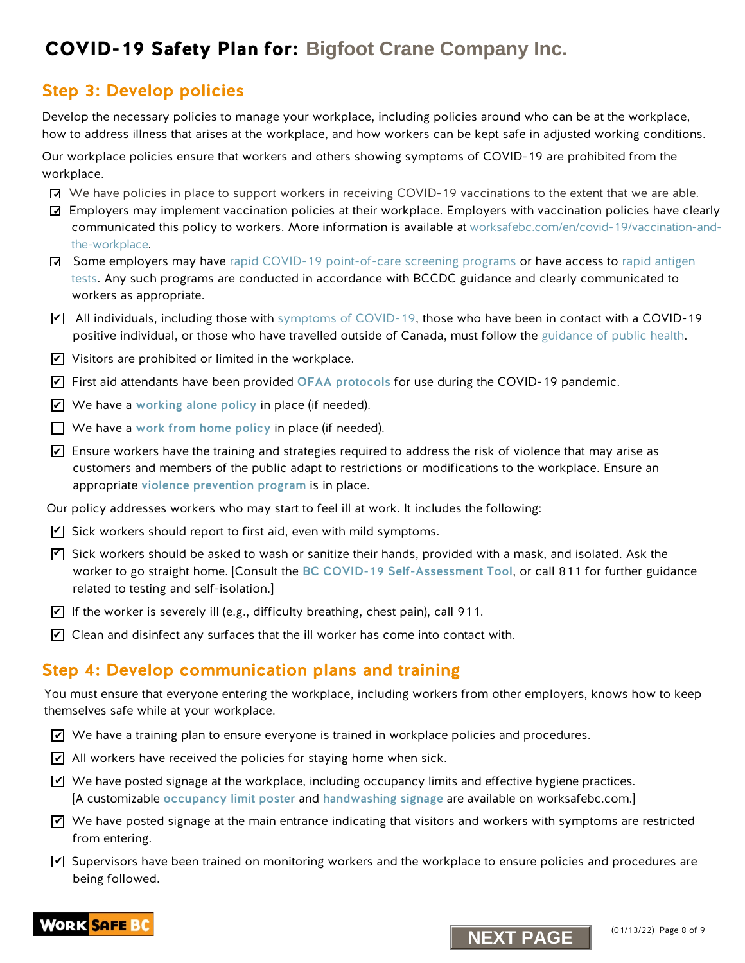### Step 3: Develop policies

Develop the necessary policies to manage your workplace, including policies around who can be at the workplace, how to address illness that arises at the workplace, and how workers can be kept safe in adjusted working conditions.

Our workplace policies ensure that workers and others showing symptoms of COVID-19 are prohibited from the workplace.

- We have policies in place to support workers in receiving COVID-19 vaccinations to the extent that we are able.
- Employers may implement vaccination policies at their workplace. Employers with vaccination policies have clearly communicated this policy to workers. More information is available at [worksafebc.com/en/covid-19/vaccination-and](https://www.worksafebc.com/en/covid-19/vaccination-and-the-workplace)the-workplace.
- Some employers may have rapid COVID-19 point-of-care screening programs or have access to rapid antigen tests. Any such programs are conducted in accordance with BCCDC guidance and clearly communicated to workers as appropriate.
- $\blacktriangledown$  All individuals, including those with symptoms of COVID-19, those who have been in contact with a COVID-19 positive individual, or those who have travelled outside of Canada, must follow the [guidance of public health](http://www.bccdc.ca/health-info/diseases-conditions/covid-19/self-isolation#How--long).
- $\blacktriangleright$  Visitors are prohibited or limited in the workplace.
- $\blacktriangleright$  First aid attendants have been provided OFAA protocols for use during the COVID-19 pandemic.
- $\blacktriangleright$  We have a [working alone policy](https://www.worksafebc.com/en/health-safety/hazards-exposures/working-alone) in place (if needed).
- $\Box$  We have a work from home policy in place (if needed).
- $\blacktriangleright$  Ensure workers have the training and strategies required to address the risk of violence that may arise as customers and members of the public adapt to restrictions or modifications to the workplace. Ensure an appropriate [violence prevention program](https://www.worksafebc.com/en/health-safety/hazards-exposures/violence) is in place.
- Our policy addresses workers who may start to feel ill at work. It includes the following:
- $\mathbf Z$  Sick workers should report to first aid, even with mild symptoms.
- $\blacktriangledown$  Sick workers should be asked to wash or sanitize their hands, provided with a mask, and isolated. Ask the worker to go straight home. [Consult the [BC COVID-19 Self-Assessment Tool](https://bc.thrive.health/), or call 811 for further guidance related to testing and self-isolation.] **NEXT PLANE INTERNATION CONTINUES INTERNATION COMPANY INTERNATION CONTINUES TO THE CONTINUES INTERNATION CONTINUES INTO THE CONTINUES INTERNATION CONTINUES INTERNATION CONTINUES INTERNATION CONTINUES INTERNATION CONTINUES**
- $\blacktriangleright$  If the worker is severely ill (e.g., difficulty breathing, chest pain), call 911.
- $\blacktriangleright$  Clean and disinfect any surfaces that the ill worker has come into contact with.

### Step 4: Develop communication plans and training

You must ensure that everyone entering the workplace, including workers from other employers, knows how to keep themselves safe while at your workplace.

- $\blacktriangleleft$  We have a training plan to ensure everyone is trained in workplace policies and procedures.
- $\blacktriangleright$  All workers have received the policies for staying home when sick.
- $\blacktriangledown$  We have posted signage at the workplace, including occupancy limits and effective hygiene practices. [A customizable [occupancy limit poster](https://www.worksafebc.com/en/resources/health-safety/posters/help-prevent-spread-covid-19-occupancy-limit?lang=en) and [handwashing signage](https://www.worksafebc.com/en/resources/health-safety/posters/help-prevent-spread-covid-19-handwashing?lang=en) are available on worksafebc.com.]
- $\blacktriangledown$  We have posted signage at the main entrance indicating that visitors and workers with symptoms are restricted from entering.
- $\blacktriangledown$  Supervisors have been trained on monitoring workers and the workplace to ensure policies and procedures are being followed.